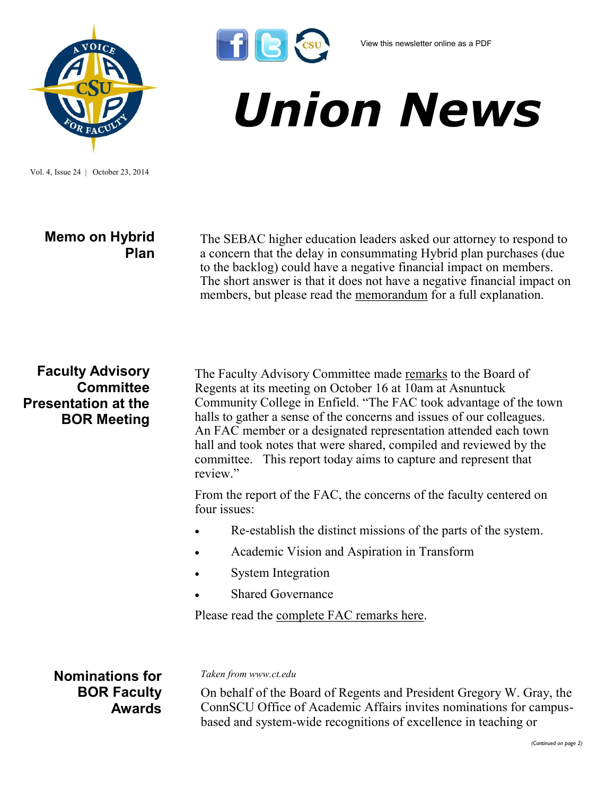

Vol. 4, Issue 24 | October 23, 2014

# **Memo on Hybrid Plan**

The SEBAC higher education leaders asked our attorney to respond to a concern that the delay in consummating Hybrid plan purchases (due to the backlog) could have a negative financial impact on members. The short answer is that it does not have a negative financial impact on members, but please read the [memorandum](http://www.csuaaup.org/wp-content/uploads/2014/10/Memo-to-Higher-Ed-Leaders.pdf) for a full explanation.

### **Faculty Advisory Committee Presentation at the BOR Meeting**

The Faculty Advisory Committee made [remarks](http://www.csuaaup.org/wp-content/uploads/2014/10/Report-to-Board-Oct-2014.pdf) to the Board of Regents at its meeting on October 16 at 10am at Asnuntuck Community College in Enfield. "The FAC took advantage of the town halls to gather a sense of the concerns and issues of our colleagues. An FAC member or a designated representation attended each town hall and took notes that were shared, compiled and reviewed by the committee. This report today aims to capture and represent that review."

From the report of the FAC, the concerns of the faculty centered on four issues:

- Re-establish the distinct missions of the parts of the system.
- Academic Vision and Aspiration in Transform
- System Integration

Shared Governance

Please read the [complete FAC remarks here.](http://www.csuaaup.org/wp-content/uploads/2014/10/Report-to-Board-Oct-2014.pdf)

**Nominations for BOR Faculty Awards** *Taken from www.ct.edu*

On behalf of the Board of Regents and President Gregory W. Gray, the ConnSCU Office of Academic Affairs invites nominations for campusbased and system-wide recognitions of excellence in teaching or